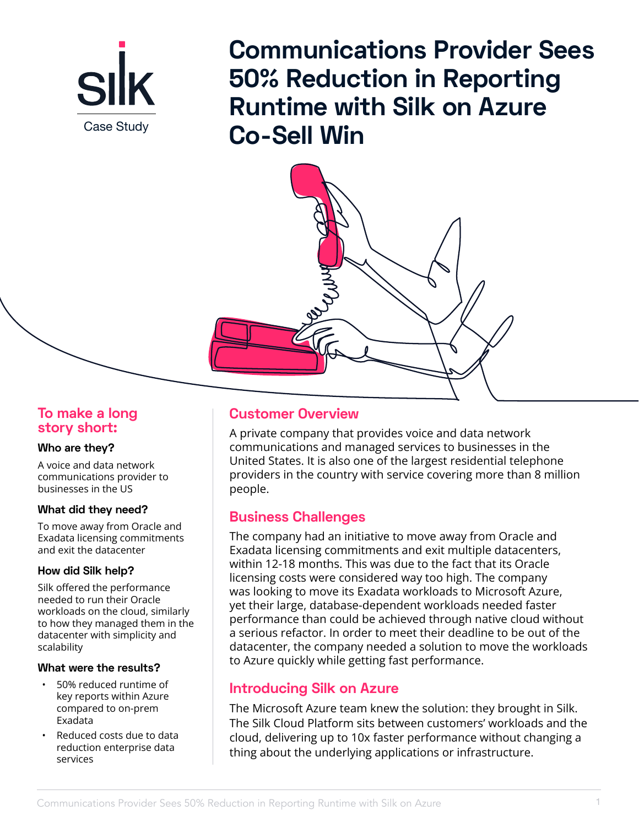

**Communications Provider Sees 50% Reduction in Reporting Runtime with Silk on Azure**  Case Study **Co-Sell Win** 



# **To make a long story short:**

### **Who are they?**

A voice and data network communications provider to businesses in the US

### **What did they need?**

To move away from Oracle and Exadata licensing commitments and exit the datacenter

## **How did Silk help?**

Silk offered the performance needed to run their Oracle workloads on the cloud, similarly to how they managed them in the datacenter with simplicity and scalability

## **What were the results?**

- 50% reduced runtime of key reports within Azure compared to on-prem Exadata
- Reduced costs due to data reduction enterprise data services

# **Customer Overview**

A private company that provides voice and data network communications and managed services to businesses in the United States. It is also one of the largest residential telephone providers in the country with service covering more than 8 million people.

# **Business Challenges**

The company had an initiative to move away from Oracle and Exadata licensing commitments and exit multiple datacenters, within 12-18 months. This was due to the fact that its Oracle licensing costs were considered way too high. The company was looking to move its Exadata workloads to Microsoft Azure, yet their large, database-dependent workloads needed faster performance than could be achieved through native cloud without a serious refactor. In order to meet their deadline to be out of the datacenter, the company needed a solution to move the workloads to Azure quickly while getting fast performance.

# **Introducing Silk on Azure**

The Microsoft Azure team knew the solution: they brought in Silk. The Silk Cloud Platform sits between customers' workloads and the cloud, delivering up to 10x faster performance without changing a thing about the underlying applications or infrastructure.